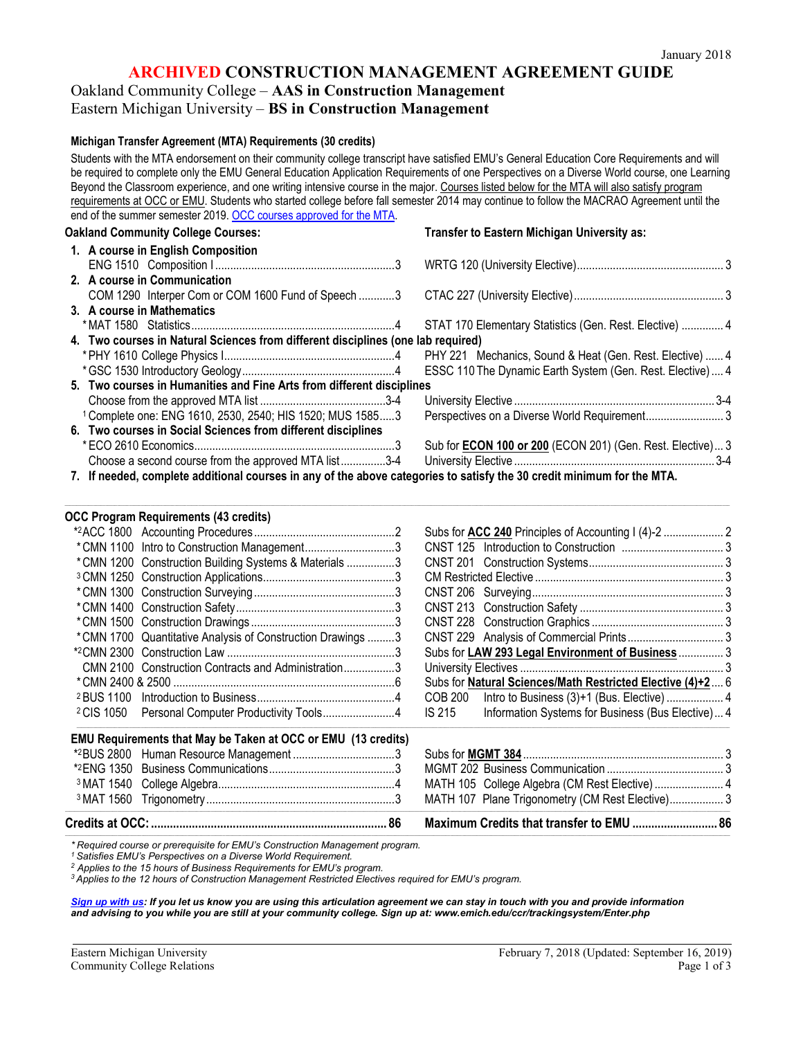### **ARCHIVED CONSTRUCTION MANAGEMENT AGREEMENT GUIDE**

# Oakland Community College – **AAS in Construction Management**

# Eastern Michigan University – **BS in Construction Management**

#### **Michigan Transfer Agreement (MTA) Requirements (30 credits)**

Students with the MTA endorsement on their community college transcript have satisfied EMU's General Education Core Requirements and will be required to complete only the EMU General Education Application Requirements of one Perspectives on a Diverse World course, one Learning Beyond the Classroom experience, and one writing intensive course in the major. Courses listed below for the MTA will also satisfy program requirements at OCC or EMU. Students who started college before fall semester 2014 may continue to follow the MACRAO Agreement until the end of the summer semester 2019. [OCC courses approved for the MTA.](http://catalog.oaklandcc.edu/graduation-requirements/michigan-transfer-agreement/)

| <b>CIN OF the Summer Semester ZOTS. OOO coulses approved for the NITA.</b>                                            |                                                                   |  |
|-----------------------------------------------------------------------------------------------------------------------|-------------------------------------------------------------------|--|
| <b>Oakland Community College Courses:</b>                                                                             | Transfer to Eastern Michigan University as:                       |  |
| 1. A course in English Composition                                                                                    |                                                                   |  |
|                                                                                                                       |                                                                   |  |
| 2. A course in Communication                                                                                          |                                                                   |  |
| COM 1290 Interper Com or COM 1600 Fund of Speech 3                                                                    |                                                                   |  |
| 3. A course in Mathematics                                                                                            |                                                                   |  |
|                                                                                                                       | STAT 170 Elementary Statistics (Gen. Rest. Elective)  4           |  |
| 4. Two courses in Natural Sciences from different disciplines (one lab required)                                      |                                                                   |  |
|                                                                                                                       | PHY 221 Mechanics, Sound & Heat (Gen. Rest. Elective)  4          |  |
|                                                                                                                       | ESSC 110 The Dynamic Earth System (Gen. Rest. Elective)  4        |  |
| 5. Two courses in Humanities and Fine Arts from different disciplines                                                 |                                                                   |  |
|                                                                                                                       |                                                                   |  |
| <sup>1</sup> Complete one: ENG 1610, 2530, 2540; HIS 1520; MUS 15853                                                  |                                                                   |  |
| 6. Two courses in Social Sciences from different disciplines                                                          |                                                                   |  |
|                                                                                                                       | Sub for <b>ECON 100 or 200</b> (ECON 201) (Gen. Rest. Elective) 3 |  |
| Choose a second course from the approved MTA list3-4                                                                  |                                                                   |  |
| 7. If needed, complete additional courses in any of the above categories to satisfy the 30 credit minimum for the MTA |                                                                   |  |

#### **7. If needed, complete additional courses in any of the above categories to satisfy the 30 credit minimum for the MTA.**

,我们也不能会在这里的时候,我们也不能会在这里,我们也不能会在这里,我们也不能会在这里,我们也不能会在这里,我们也不能会在这里,我们也不能会在这里,我们也不能会

#### **OCC Program Requirements (43 credits)** \*2ACC 1800 Accounting Procedures ...............................................2 Subs for **ACC 240** Principles of Accounting I (4)-2 .................... 2 \*CMN 1100 Intro to Construction Management..............................3 CNST 125 Introduction to Construction .................................. 3 \*CMN 1200 Construction Building Systems & Materials ..................3 <sup>3</sup> CMN 1250 Construction Applications............................................3 CM Restricted Elective ............................................................... 3 \*CMN 1300 Construction Surveying...............................................3 CNST 206 Surveying................................................................ 3 \*CMN 1400 Construction Safety.....................................................3 CNST 213 Construction Safety ................................................ 3 \*CMN 1500 Construction Drawings ................................................3 CNST 228 Construction Graphics ............................................ 3 \*CMN 1700 Quantitative Analysis of Construction Drawings .........3 CNST 229 Analysis of Commercial Prints................................ 3 \*2CMN 2300 Construction Law ........................................................3 Subs for **LAW 293 Legal Environment of Business** ............... 3 CMN 2100 Construction Contracts and Administration.................3 University Electives .................................................................... 3 \*CMN 2400 & 2500 ..........................................................................6 Subs for **Natural Sciences/Math Restricted Elective (4)+2**.... 6 <sup>2</sup> BUS 1100 Introduction to Business..............................................4 COB 200 Intro to Business (3)+1 (Bus. Elective) ................... 4 <sup>2</sup> CIS 1050 Personal Computer Productivity Tools.........................4 IS 215 Information Systems for Business (Bus Elective)... 4 ,我们就是我们的人,我们就是我们的人,我们就是我们的人,我们就是我们的人,我们就是我们的人,我们就是我们的人,我们就是我们的人,我们就是我们的人,我们就是我们的 **EMU Requirements that May be Taken at OCC or EMU (13 credits)** \*2BUS 2800 Human Resource Management ..................................3 Subs for **MGMT 384** ................................................................... 3 \*2ENG 1350 Business Communications..........................................3 MGMT 202 Business Communication ....................................... 3 3MAT 1540 College Algebra...........................................................4 MATH 105 College Algebra (CM Rest Elective)....................... 4 3MAT 1560 Trigonometry...............................................................3 MATH 107 Plane Trigonometry (CM Rest Elective).................. 3 ,我们也不能会在这里的时候,我们也不能会在这里,我们也不能会在这里,我们也不能会在这里,我们也不能会在这里,我们也不能会在这里,我们也不能会不能会不能会不能会。"

,我们也不能在这里的时候,我们也不能在这里,我们也不能不能会在这里,我们也不能会不能会不能会不能会不能会不能会不能会不能会。""我们的是我们的,我们也不能会不能会

**Credits at OCC:........................................................................... 86 Maximum Credits that transfer to EMU ........................... 86**

*\* Required course or prerequisite for EMU's Construction Management program.* 

*<sup>1</sup> Satisfies EMU's Perspectives on a Diverse World Requirement.*

*<sup>2</sup> Applies to the 15 hours of Business Requirements for EMU's program.*

*<sup>3</sup> Applies to the 12 hours of Construction Management Restricted Electives required for EMU's program.*

*[Sign up with us:](http://www.emich.edu/ccr/articulation-agreements/signup.php) If you let us know you are using this articulation agreement we can stay in touch with you and provide information and advising to you while you are still at your community college. Sign up at: www.emich.edu/ccr/trackingsystem/Enter.php*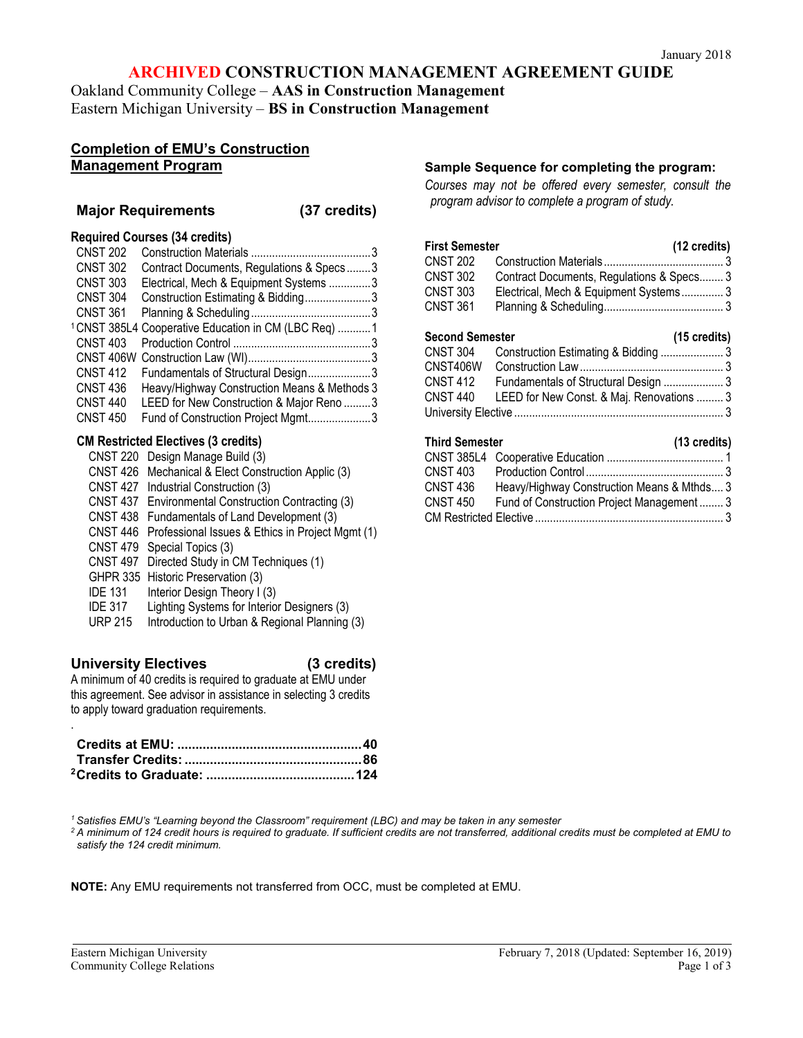### **ARCHIVED CONSTRUCTION MANAGEMENT AGREEMENT GUIDE**

Oakland Community College – **AAS in Construction Management**  Eastern Michigan University – **BS in Construction Management**

### **Completion of EMU's Construction Management Program**

#### **Major Requirements (37 credits)**

## **Required Courses (34 credits)**

| <b>CNST 202</b> |                                                                 |  |
|-----------------|-----------------------------------------------------------------|--|
| <b>CNST 302</b> | Contract Documents, Regulations & Specs3                        |  |
| <b>CNST 303</b> | Electrical, Mech & Equipment Systems 3                          |  |
| <b>CNST 304</b> | Construction Estimating & Bidding3                              |  |
| <b>CNST 361</b> |                                                                 |  |
|                 | <sup>1</sup> CNST 385L4 Cooperative Education in CM (LBC Req) 1 |  |
| <b>CNST 403</b> |                                                                 |  |
|                 |                                                                 |  |
| <b>CNST 412</b> | Fundamentals of Structural Design3                              |  |
| <b>CNST 436</b> | Heavy/Highway Construction Means & Methods 3                    |  |
| <b>CNST 440</b> | LEED for New Construction & Major Reno 3                        |  |
| <b>CNST 450</b> | Fund of Construction Project Mgmt3                              |  |
|                 |                                                                 |  |

### **CM Restricted Electives (3 credits)**

- CNST 220 Design Manage Build (3)
- CNST 426 Mechanical & Elect Construction Applic (3)
- CNST 427 Industrial Construction (3)
- CNST 437 Environmental Construction Contracting (3)
- CNST 438 Fundamentals of Land Development (3)
- CNST 446 Professional Issues & Ethics in Project Mgmt (1)
- CNST 479 Special Topics (3)
- CNST 497 Directed Study in CM Techniques (1)
- GHPR 335 Historic Preservation (3)
- IDE 131 Interior Design Theory I (3)<br>IDE 317 Lighting Systems for Interio
- Lighting Systems for Interior Designers (3)
- URP 215 Introduction to Urban & Regional Planning (3)

### **University Electives (3 credits)**

.

A minimum of 40 credits is required to graduate at EMU under this agreement. See advisor in assistance in selecting 3 credits to apply toward graduation requirements.

### **Sample Sequence for completing the program:**

*Courses may not be offered every semester, consult the program advisor to complete a program of study.*

#### **First Semester (12 credits)** CNST 202 Construction Materials ........................................ 3 CNST 302 Contract Documents, Regulations & Specs........ 3<br>CNST 303 Flectrical Mech & Fquipment Systems 3 Electrical, Mech & Equipment Systems .............. 3 CNST 361 Planning & Scheduling........................................ 3

### **Second Semester (15 credits)**

|                 | $\cdots$                                           |  |
|-----------------|----------------------------------------------------|--|
| <b>CNST 304</b> |                                                    |  |
| CNST406W        |                                                    |  |
| <b>CNST 412</b> | Fundamentals of Structural Design  3               |  |
|                 | CNST 440 LEED for New Const. & Maj. Renovations  3 |  |
|                 |                                                    |  |

#### **Third Semester (13 credits)**

|                 | $\cdots$                                   |
|-----------------|--------------------------------------------|
|                 |                                            |
| <b>CNST 403</b> |                                            |
| CNST 436        | Heavy/Highway Construction Means & Mthds 3 |
| <b>CNST 450</b> | Fund of Construction Project Management 3  |
|                 |                                            |

*<sup>1</sup> Satisfies EMU's "Learning beyond the Classroom" requirement (LBC) and may be taken in any semester*

*<sup>2</sup> A minimum of 124 credit hours is required to graduate. If sufficient credits are not transferred, additional credits must be completed at EMU to satisfy the 124 credit minimum.*

**NOTE:** Any EMU requirements not transferred from OCC, must be completed at EMU.